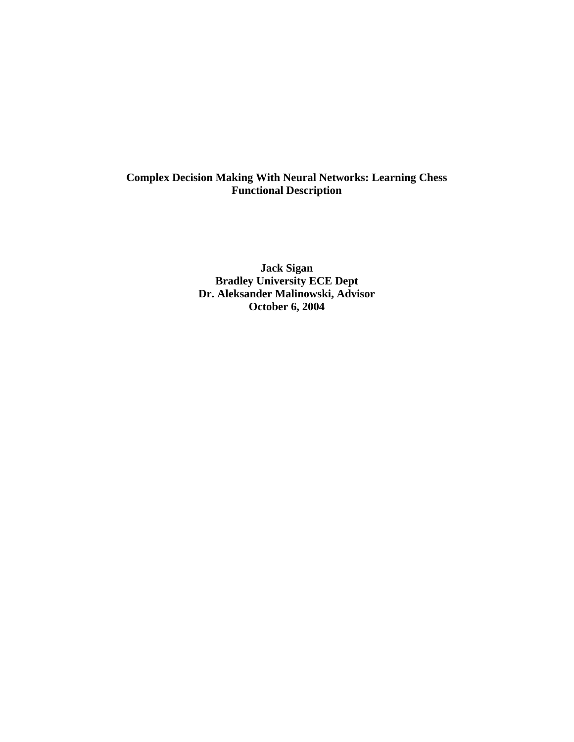# **Complex Decision Making With Neural Networks: Learning Chess Functional Description**

**Jack Sigan Bradley University ECE Dept Dr. Aleksander Malinowski, Advisor October 6, 2004**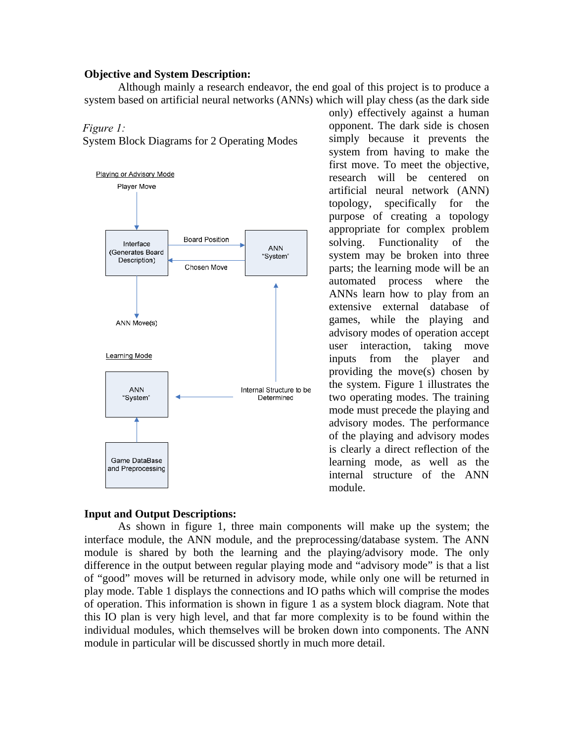## **Objective and System Description:**

 Although mainly a research endeavor, the end goal of this project is to produce a system based on artificial neural networks (ANNs) which will play chess (as the dark side

#### *Figure 1:*

System Block Diagrams for 2 Operating Modes



## **Input and Output Descriptions:**

only) effectively against a human opponent. The dark side is chosen simply because it prevents the system from having to make the first move. To meet the objective, research will be centered on artificial neural network (ANN) topology, specifically for the purpose of creating a topology appropriate for complex problem solving. Functionality of the system may be broken into three parts; the learning mode will be an automated process where the ANNs learn how to play from an extensive external database of games, while the playing and advisory modes of operation accept user interaction, taking move inputs from the player and providing the move(s) chosen by the system. Figure 1 illustrates the two operating modes. The training mode must precede the playing and advisory modes. The performance of the playing and advisory modes is clearly a direct reflection of the learning mode, as well as the internal structure of the ANN module.

 As shown in figure 1, three main components will make up the system; the interface module, the ANN module, and the preprocessing/database system. The ANN module is shared by both the learning and the playing/advisory mode. The only difference in the output between regular playing mode and "advisory mode" is that a list of "good" moves will be returned in advisory mode, while only one will be returned in play mode. Table 1 displays the connections and IO paths which will comprise the modes of operation. This information is shown in figure 1 as a system block diagram. Note that this IO plan is very high level, and that far more complexity is to be found within the individual modules, which themselves will be broken down into components. The ANN module in particular will be discussed shortly in much more detail.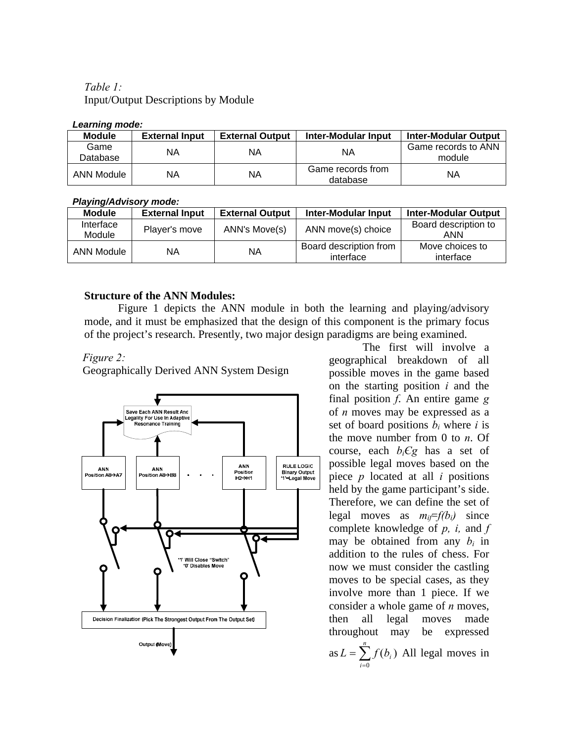*Table 1:*  Input/Output Descriptions by Module

### *Learning mode:*

| <b>Module</b>    | <b>External Input</b> | <b>External Output</b> | Inter-Modular Input           | <b>Inter-Modular Output</b>   |  |  |  |
|------------------|-----------------------|------------------------|-------------------------------|-------------------------------|--|--|--|
| Game<br>Database | NA                    | ΝA                     | ΝA                            | Game records to ANN<br>module |  |  |  |
| ANN Module       | NA                    | ΝA                     | Game records from<br>database | ΝA                            |  |  |  |

## *Playing/Advisory mode:*

| <b>Module</b>       | <b>External Input</b> | <b>External Output</b> | Inter-Modular Input                 | <b>Inter-Modular Output</b>  |
|---------------------|-----------------------|------------------------|-------------------------------------|------------------------------|
| Interface<br>Module | Player's move         | ANN's Move(s)          | ANN move(s) choice                  | Board description to<br>ANN  |
| ANN Module          | ΝA                    | ΝA                     | Board description from<br>interface | Move choices to<br>interface |

# **Structure of the ANN Modules:**

Figure 1 depicts the ANN module in both the learning and playing/advisory mode, and it must be emphasized that the design of this component is the primary focus of the project's research. Presently, two major design paradigms are being examined.

# *Figure 2:*

Geographically Derived ANN System Design



 The first will involve a geographical breakdown of all possible moves in the game based on the starting position *i* and the final position *f*. An entire game *g* of *n* moves may be expressed as a set of board positions  $b_i$  where *i* is the move number from 0 to *n*. Of course, each  $b_iCg$  has a set of possible legal moves based on the piece *p* located at all *i* positions held by the game participant's side. Therefore, we can define the set of legal moves as  $m_i = f(b_i)$  since complete knowledge of *p, i,* and *f* may be obtained from any  $b_i$  in addition to the rules of chess. For now we must consider the castling moves to be special cases, as they involve more than 1 piece. If we consider a whole game of *n* moves, then all legal moves made throughout may be expressed as  $L = \sum_{i=0}^{n} f(b_i)$ *i*  $L = \sum f(b_i)$  All legal moves in 0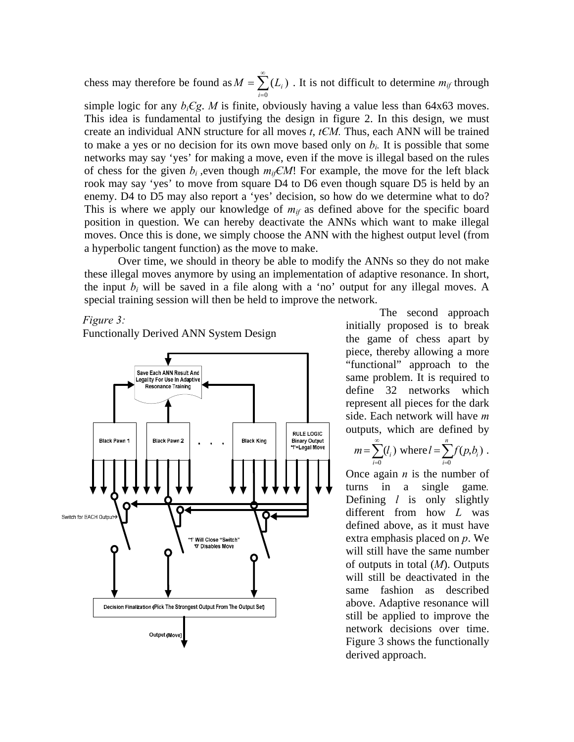chess may therefore be found as  $M = \sum_{n=1}^{\infty}$ =  $M = \sum_{i} (L_i)$ . It is not difficult to determine  $m_{if}$  through 0 *i*

simple logic for any  $b_iCg$ . *M* is finite, obviously having a value less than 64x63 moves. This idea is fundamental to justifying the design in figure 2. In this design, we must create an individual ANN structure for all moves *t*, *tЄM.* Thus, each ANN will be trained to make a yes or no decision for its own move based only on *bi.* It is possible that some networks may say 'yes' for making a move, even if the move is illegal based on the rules of chess for the given  $b_i$ , even though  $m_i \in M!$ ! For example, the move for the left black rook may say 'yes' to move from square D4 to D6 even though square D5 is held by an enemy. D4 to D5 may also report a 'yes' decision, so how do we determine what to do? This is where we apply our knowledge of  $m_{if}$  as defined above for the specific board position in question. We can hereby deactivate the ANNs which want to make illegal moves. Once this is done, we simply choose the ANN with the highest output level (from a hyperbolic tangent function) as the move to make.

 Over time, we should in theory be able to modify the ANNs so they do not make these illegal moves anymore by using an implementation of adaptive resonance. In short, the input  $b_i$  will be saved in a file along with a 'no' output for any illegal moves. A special training session will then be held to improve the network.

### *Figure 3:*

Functionally Derived ANN System Design



 The second approach initially proposed is to break the game of chess apart by piece, thereby allowing a more "functional" approach to the same problem. It is required to define 32 networks which represent all pieces for the dark side. Each network will have *m* outputs, which are defined by

$$
m = \sum_{i=0}^{\infty} (l_i)
$$
 where  $l = \sum_{i=0}^{n} f(p, b_i)$ .

Once again *n* is the number of turns in a single game*.* Defining *l* is only slightly different from how *L* was defined above, as it must have extra emphasis placed on *p*. We will still have the same number of outputs in total (*M*). Outputs will still be deactivated in the same fashion as described above. Adaptive resonance will still be applied to improve the network decisions over time. Figure 3 shows the functionally derived approach.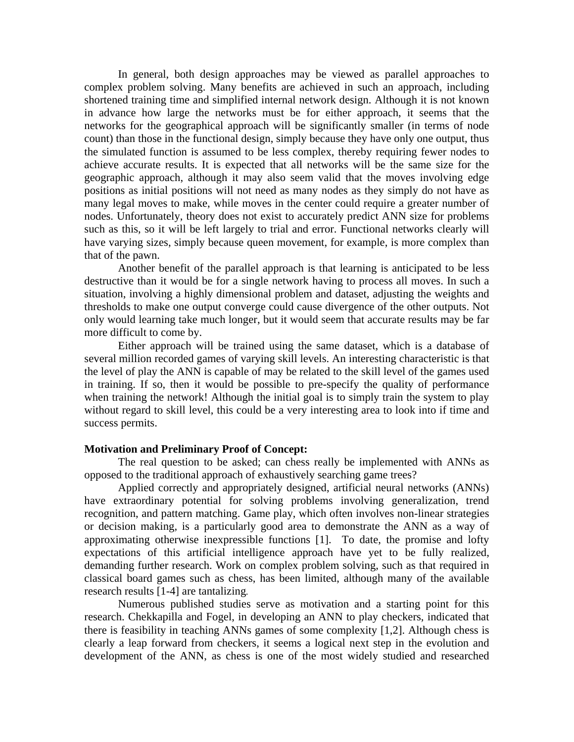In general, both design approaches may be viewed as parallel approaches to complex problem solving. Many benefits are achieved in such an approach, including shortened training time and simplified internal network design. Although it is not known in advance how large the networks must be for either approach, it seems that the networks for the geographical approach will be significantly smaller (in terms of node count) than those in the functional design, simply because they have only one output, thus the simulated function is assumed to be less complex, thereby requiring fewer nodes to achieve accurate results. It is expected that all networks will be the same size for the geographic approach, although it may also seem valid that the moves involving edge positions as initial positions will not need as many nodes as they simply do not have as many legal moves to make, while moves in the center could require a greater number of nodes. Unfortunately, theory does not exist to accurately predict ANN size for problems such as this, so it will be left largely to trial and error. Functional networks clearly will have varying sizes, simply because queen movement, for example, is more complex than that of the pawn.

 Another benefit of the parallel approach is that learning is anticipated to be less destructive than it would be for a single network having to process all moves. In such a situation, involving a highly dimensional problem and dataset, adjusting the weights and thresholds to make one output converge could cause divergence of the other outputs. Not only would learning take much longer, but it would seem that accurate results may be far more difficult to come by.

Either approach will be trained using the same dataset, which is a database of several million recorded games of varying skill levels. An interesting characteristic is that the level of play the ANN is capable of may be related to the skill level of the games used in training. If so, then it would be possible to pre-specify the quality of performance when training the network! Although the initial goal is to simply train the system to play without regard to skill level, this could be a very interesting area to look into if time and success permits.

### **Motivation and Preliminary Proof of Concept:**

 The real question to be asked; can chess really be implemented with ANNs as opposed to the traditional approach of exhaustively searching game trees?

Applied correctly and appropriately designed, artificial neural networks (ANNs) have extraordinary potential for solving problems involving generalization, trend recognition, and pattern matching. Game play, which often involves non-linear strategies or decision making, is a particularly good area to demonstrate the ANN as a way of approximating otherwise inexpressible functions [1]. To date, the promise and lofty expectations of this artificial intelligence approach have yet to be fully realized, demanding further research. Work on complex problem solving, such as that required in classical board games such as chess, has been limited, although many of the available research results [1-4] are tantalizing*.* 

Numerous published studies serve as motivation and a starting point for this research. Chekkapilla and Fogel, in developing an ANN to play checkers, indicated that there is feasibility in teaching ANNs games of some complexity [1,2]. Although chess is clearly a leap forward from checkers, it seems a logical next step in the evolution and development of the ANN, as chess is one of the most widely studied and researched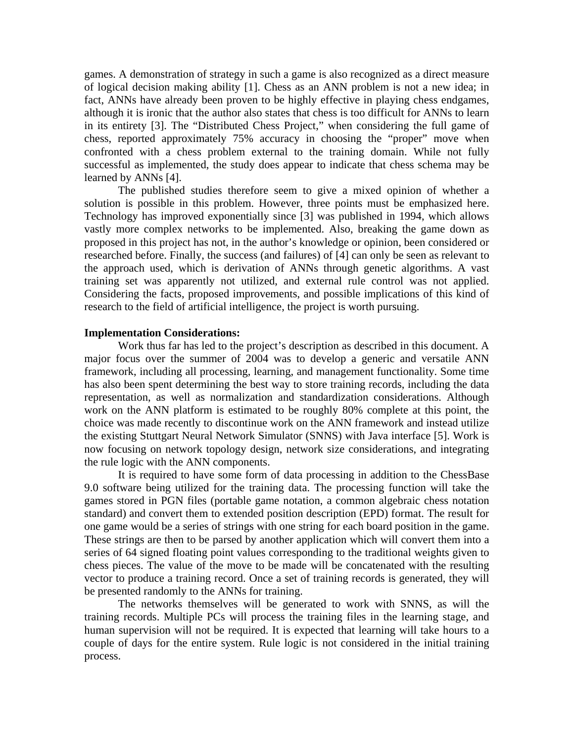games. A demonstration of strategy in such a game is also recognized as a direct measure of logical decision making ability [1]. Chess as an ANN problem is not a new idea; in fact, ANNs have already been proven to be highly effective in playing chess endgames, although it is ironic that the author also states that chess is too difficult for ANNs to learn in its entirety [3]. The "Distributed Chess Project," when considering the full game of chess, reported approximately 75% accuracy in choosing the "proper" move when confronted with a chess problem external to the training domain. While not fully successful as implemented, the study does appear to indicate that chess schema may be learned by ANNs [4].

The published studies therefore seem to give a mixed opinion of whether a solution is possible in this problem. However, three points must be emphasized here. Technology has improved exponentially since [3] was published in 1994, which allows vastly more complex networks to be implemented. Also, breaking the game down as proposed in this project has not, in the author's knowledge or opinion, been considered or researched before. Finally, the success (and failures) of [4] can only be seen as relevant to the approach used, which is derivation of ANNs through genetic algorithms. A vast training set was apparently not utilized, and external rule control was not applied. Considering the facts, proposed improvements, and possible implications of this kind of research to the field of artificial intelligence, the project is worth pursuing.

### **Implementation Considerations:**

Work thus far has led to the project's description as described in this document. A major focus over the summer of 2004 was to develop a generic and versatile ANN framework, including all processing, learning, and management functionality. Some time has also been spent determining the best way to store training records, including the data representation, as well as normalization and standardization considerations. Although work on the ANN platform is estimated to be roughly 80% complete at this point, the choice was made recently to discontinue work on the ANN framework and instead utilize the existing Stuttgart Neural Network Simulator (SNNS) with Java interface [5]. Work is now focusing on network topology design, network size considerations, and integrating the rule logic with the ANN components.

 It is required to have some form of data processing in addition to the ChessBase 9.0 software being utilized for the training data. The processing function will take the games stored in PGN files (portable game notation, a common algebraic chess notation standard) and convert them to extended position description (EPD) format. The result for one game would be a series of strings with one string for each board position in the game. These strings are then to be parsed by another application which will convert them into a series of 64 signed floating point values corresponding to the traditional weights given to chess pieces. The value of the move to be made will be concatenated with the resulting vector to produce a training record. Once a set of training records is generated, they will be presented randomly to the ANNs for training.

 The networks themselves will be generated to work with SNNS, as will the training records. Multiple PCs will process the training files in the learning stage, and human supervision will not be required. It is expected that learning will take hours to a couple of days for the entire system. Rule logic is not considered in the initial training process.